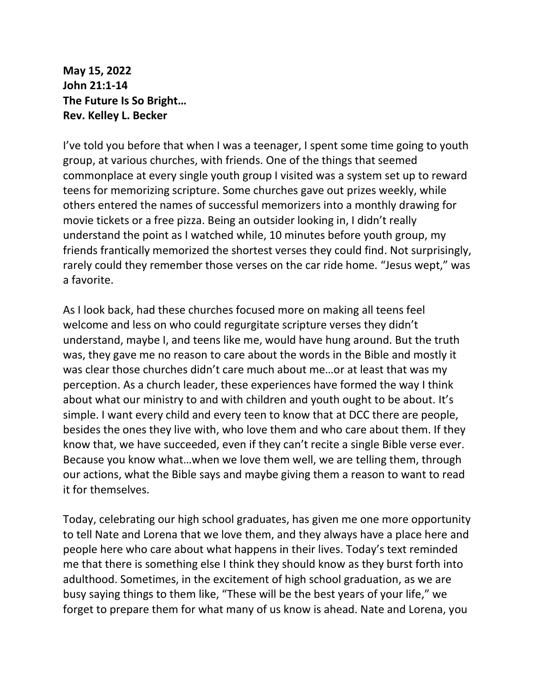**May 15, 2022 John 21:1-14 The Future Is So Bright… Rev. Kelley L. Becker**

I've told you before that when I was a teenager, I spent some time going to youth group, at various churches, with friends. One of the things that seemed commonplace at every single youth group I visited was a system set up to reward teens for memorizing scripture. Some churches gave out prizes weekly, while others entered the names of successful memorizers into a monthly drawing for movie tickets or a free pizza. Being an outsider looking in, I didn't really understand the point as I watched while, 10 minutes before youth group, my friends frantically memorized the shortest verses they could find. Not surprisingly, rarely could they remember those verses on the car ride home. "Jesus wept," was a favorite.

As I look back, had these churches focused more on making all teens feel welcome and less on who could regurgitate scripture verses they didn't understand, maybe I, and teens like me, would have hung around. But the truth was, they gave me no reason to care about the words in the Bible and mostly it was clear those churches didn't care much about me…or at least that was my perception. As a church leader, these experiences have formed the way I think about what our ministry to and with children and youth ought to be about. It's simple. I want every child and every teen to know that at DCC there are people, besides the ones they live with, who love them and who care about them. If they know that, we have succeeded, even if they can't recite a single Bible verse ever. Because you know what…when we love them well, we are telling them, through our actions, what the Bible says and maybe giving them a reason to want to read it for themselves.

Today, celebrating our high school graduates, has given me one more opportunity to tell Nate and Lorena that we love them, and they always have a place here and people here who care about what happens in their lives. Today's text reminded me that there is something else I think they should know as they burst forth into adulthood. Sometimes, in the excitement of high school graduation, as we are busy saying things to them like, "These will be the best years of your life," we forget to prepare them for what many of us know is ahead. Nate and Lorena, you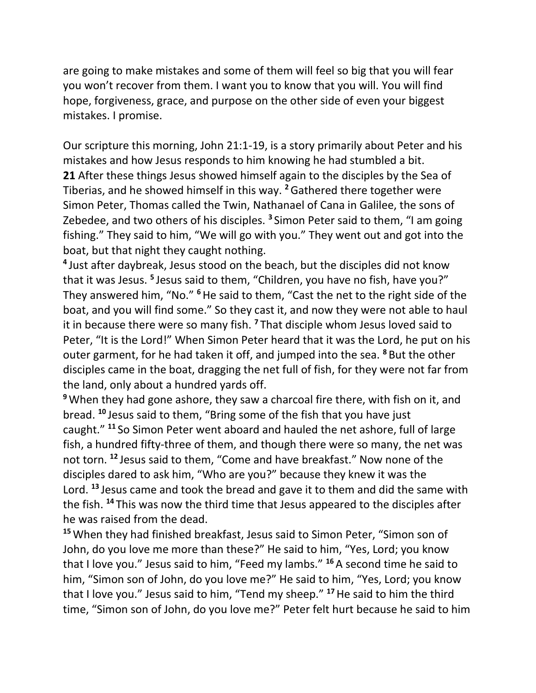are going to make mistakes and some of them will feel so big that you will fear you won't recover from them. I want you to know that you will. You will find hope, forgiveness, grace, and purpose on the other side of even your biggest mistakes. I promise.

Our scripture this morning, John 21:1-19, is a story primarily about Peter and his mistakes and how Jesus responds to him knowing he had stumbled a bit. **21** After these things Jesus showed himself again to the disciples by the Sea of Tiberias, and he showed himself in this way. **<sup>2</sup>**Gathered there together were Simon Peter, Thomas called the Twin, Nathanael of Cana in Galilee, the sons of Zebedee, and two others of his disciples. **<sup>3</sup>** Simon Peter said to them, "I am going fishing." They said to him, "We will go with you." They went out and got into the boat, but that night they caught nothing.

**4** Just after daybreak, Jesus stood on the beach, but the disciples did not know that it was Jesus. **<sup>5</sup>** Jesus said to them, "Children, you have no fish, have you?" They answered him, "No." **<sup>6</sup>**He said to them, "Cast the net to the right side of the boat, and you will find some." So they cast it, and now they were not able to haul it in because there were so many fish. **<sup>7</sup>** That disciple whom Jesus loved said to Peter, "It is the Lord!" When Simon Peter heard that it was the Lord, he put on his outer garment, for he had taken it off, and jumped into the sea. **<sup>8</sup>** But the other disciples came in the boat, dragging the net full of fish, for they were not far from the land, only about a hundred yards off.

**<sup>9</sup>**When they had gone ashore, they saw a charcoal fire there, with fish on it, and bread. **<sup>10</sup>** Jesus said to them, "Bring some of the fish that you have just caught." **<sup>11</sup>** So Simon Peter went aboard and hauled the net ashore, full of large fish, a hundred fifty-three of them, and though there were so many, the net was not torn. **<sup>12</sup>** Jesus said to them, "Come and have breakfast." Now none of the disciples dared to ask him, "Who are you?" because they knew it was the Lord. **<sup>13</sup>** Jesus came and took the bread and gave it to them and did the same with the fish. **<sup>14</sup>** This was now the third time that Jesus appeared to the disciples after he was raised from the dead.

**<sup>15</sup>**When they had finished breakfast, Jesus said to Simon Peter, "Simon son of John, do you love me more than these?" He said to him, "Yes, Lord; you know that I love you." Jesus said to him, "Feed my lambs." **<sup>16</sup>** A second time he said to him, "Simon son of John, do you love me?" He said to him, "Yes, Lord; you know that I love you." Jesus said to him, "Tend my sheep." **<sup>17</sup>**He said to him the third time, "Simon son of John, do you love me?" Peter felt hurt because he said to him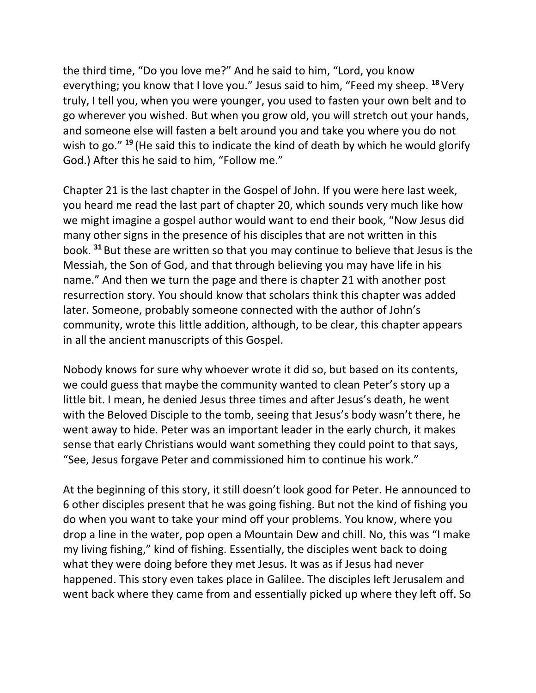the third time, "Do you love me?" And he said to him, "Lord, you know everything; you know that I love you." Jesus said to him, "Feed my sheep. **<sup>18</sup>** Very truly, I tell you, when you were younger, you used to fasten your own belt and to go wherever you wished. But when you grow old, you will stretch out your hands, and someone else will fasten a belt around you and take you where you do not wish to go." **<sup>19</sup>** (He said this to indicate the kind of death by which he would glorify God.) After this he said to him, "Follow me."

Chapter 21 is the last chapter in the Gospel of John. If you were here last week, you heard me read the last part of chapter 20, which sounds very much like how we might imagine a gospel author would want to end their book, "Now Jesus did many other signs in the presence of his disciples that are not written in this book. **<sup>31</sup>** But these are written so that you may continue to believe that Jesus is the Messiah, the Son of God, and that through believing you may have life in his name." And then we turn the page and there is chapter 21 with another post resurrection story. You should know that scholars think this chapter was added later. Someone, probably someone connected with the author of John's community, wrote this little addition, although, to be clear, this chapter appears in all the ancient manuscripts of this Gospel.

Nobody knows for sure why whoever wrote it did so, but based on its contents, we could guess that maybe the community wanted to clean Peter's story up a little bit. I mean, he denied Jesus three times and after Jesus's death, he went with the Beloved Disciple to the tomb, seeing that Jesus's body wasn't there, he went away to hide. Peter was an important leader in the early church, it makes sense that early Christians would want something they could point to that says, "See, Jesus forgave Peter and commissioned him to continue his work."

At the beginning of this story, it still doesn't look good for Peter. He announced to 6 other disciples present that he was going fishing. But not the kind of fishing you do when you want to take your mind off your problems. You know, where you drop a line in the water, pop open a Mountain Dew and chill. No, this was "I make my living fishing," kind of fishing. Essentially, the disciples went back to doing what they were doing before they met Jesus. It was as if Jesus had never happened. This story even takes place in Galilee. The disciples left Jerusalem and went back where they came from and essentially picked up where they left off. So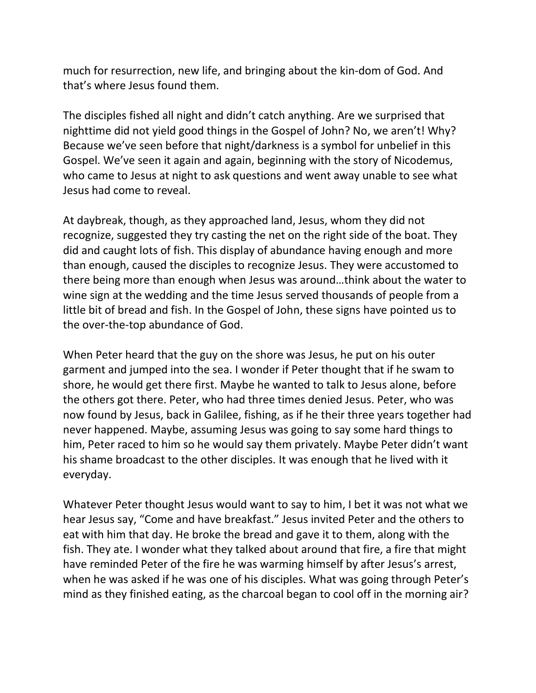much for resurrection, new life, and bringing about the kin-dom of God. And that's where Jesus found them.

The disciples fished all night and didn't catch anything. Are we surprised that nighttime did not yield good things in the Gospel of John? No, we aren't! Why? Because we've seen before that night/darkness is a symbol for unbelief in this Gospel. We've seen it again and again, beginning with the story of Nicodemus, who came to Jesus at night to ask questions and went away unable to see what Jesus had come to reveal.

At daybreak, though, as they approached land, Jesus, whom they did not recognize, suggested they try casting the net on the right side of the boat. They did and caught lots of fish. This display of abundance having enough and more than enough, caused the disciples to recognize Jesus. They were accustomed to there being more than enough when Jesus was around…think about the water to wine sign at the wedding and the time Jesus served thousands of people from a little bit of bread and fish. In the Gospel of John, these signs have pointed us to the over-the-top abundance of God.

When Peter heard that the guy on the shore was Jesus, he put on his outer garment and jumped into the sea. I wonder if Peter thought that if he swam to shore, he would get there first. Maybe he wanted to talk to Jesus alone, before the others got there. Peter, who had three times denied Jesus. Peter, who was now found by Jesus, back in Galilee, fishing, as if he their three years together had never happened. Maybe, assuming Jesus was going to say some hard things to him, Peter raced to him so he would say them privately. Maybe Peter didn't want his shame broadcast to the other disciples. It was enough that he lived with it everyday.

Whatever Peter thought Jesus would want to say to him, I bet it was not what we hear Jesus say, "Come and have breakfast." Jesus invited Peter and the others to eat with him that day. He broke the bread and gave it to them, along with the fish. They ate. I wonder what they talked about around that fire, a fire that might have reminded Peter of the fire he was warming himself by after Jesus's arrest, when he was asked if he was one of his disciples. What was going through Peter's mind as they finished eating, as the charcoal began to cool off in the morning air?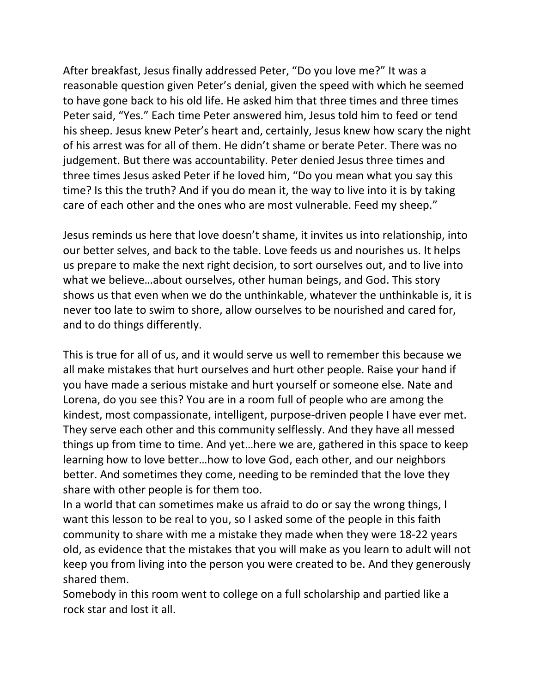After breakfast, Jesus finally addressed Peter, "Do you love me?" It was a reasonable question given Peter's denial, given the speed with which he seemed to have gone back to his old life. He asked him that three times and three times Peter said, "Yes." Each time Peter answered him, Jesus told him to feed or tend his sheep. Jesus knew Peter's heart and, certainly, Jesus knew how scary the night of his arrest was for all of them. He didn't shame or berate Peter. There was no judgement. But there was accountability. Peter denied Jesus three times and three times Jesus asked Peter if he loved him, "Do you mean what you say this time? Is this the truth? And if you do mean it, the way to live into it is by taking care of each other and the ones who are most vulnerable. Feed my sheep."

Jesus reminds us here that love doesn't shame, it invites us into relationship, into our better selves, and back to the table. Love feeds us and nourishes us. It helps us prepare to make the next right decision, to sort ourselves out, and to live into what we believe…about ourselves, other human beings, and God. This story shows us that even when we do the unthinkable, whatever the unthinkable is, it is never too late to swim to shore, allow ourselves to be nourished and cared for, and to do things differently.

This is true for all of us, and it would serve us well to remember this because we all make mistakes that hurt ourselves and hurt other people. Raise your hand if you have made a serious mistake and hurt yourself or someone else. Nate and Lorena, do you see this? You are in a room full of people who are among the kindest, most compassionate, intelligent, purpose-driven people I have ever met. They serve each other and this community selflessly. And they have all messed things up from time to time. And yet…here we are, gathered in this space to keep learning how to love better…how to love God, each other, and our neighbors better. And sometimes they come, needing to be reminded that the love they share with other people is for them too.

In a world that can sometimes make us afraid to do or say the wrong things, I want this lesson to be real to you, so I asked some of the people in this faith community to share with me a mistake they made when they were 18-22 years old, as evidence that the mistakes that you will make as you learn to adult will not keep you from living into the person you were created to be. And they generously shared them.

Somebody in this room went to college on a full scholarship and partied like a rock star and lost it all.